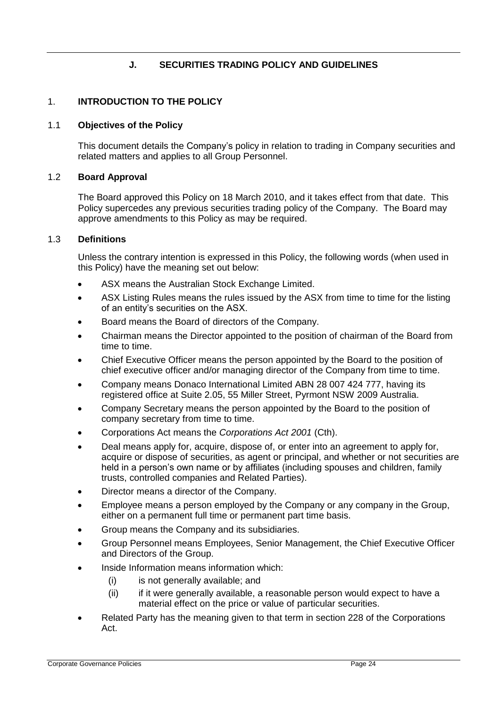# **J. SECURITIES TRADING POLICY AND GUIDELINES**

# 1. **INTRODUCTION TO THE POLICY**

### 1.1 **Objectives of the Policy**

This document details the Company's policy in relation to trading in Company securities and related matters and applies to all Group Personnel.

### 1.2 **Board Approval**

The Board approved this Policy on 18 March 2010, and it takes effect from that date. This Policy supercedes any previous securities trading policy of the Company. The Board may approve amendments to this Policy as may be required.

### 1.3 **Definitions**

Unless the contrary intention is expressed in this Policy, the following words (when used in this Policy) have the meaning set out below:

- ASX means the Australian Stock Exchange Limited.
- ASX Listing Rules means the rules issued by the ASX from time to time for the listing of an entity's securities on the ASX.
- Board means the Board of directors of the Company.
- Chairman means the Director appointed to the position of chairman of the Board from time to time.
- Chief Executive Officer means the person appointed by the Board to the position of chief executive officer and/or managing director of the Company from time to time.
- Company means Donaco International Limited ABN 28 007 424 777, having its registered office at Suite 2.05, 55 Miller Street, Pyrmont NSW 2009 Australia.
- Company Secretary means the person appointed by the Board to the position of company secretary from time to time.
- Corporations Act means the *Corporations Act 2001* (Cth).
- Deal means apply for, acquire, dispose of, or enter into an agreement to apply for, acquire or dispose of securities, as agent or principal, and whether or not securities are held in a person's own name or by affiliates (including spouses and children, family trusts, controlled companies and Related Parties).
- Director means a director of the Company.
- Employee means a person employed by the Company or any company in the Group, either on a permanent full time or permanent part time basis.
- Group means the Company and its subsidiaries.
- Group Personnel means Employees, Senior Management, the Chief Executive Officer and Directors of the Group.
- Inside Information means information which:
	- (i) is not generally available; and
	- (ii) if it were generally available, a reasonable person would expect to have a material effect on the price or value of particular securities.
- Related Party has the meaning given to that term in section 228 of the Corporations Act.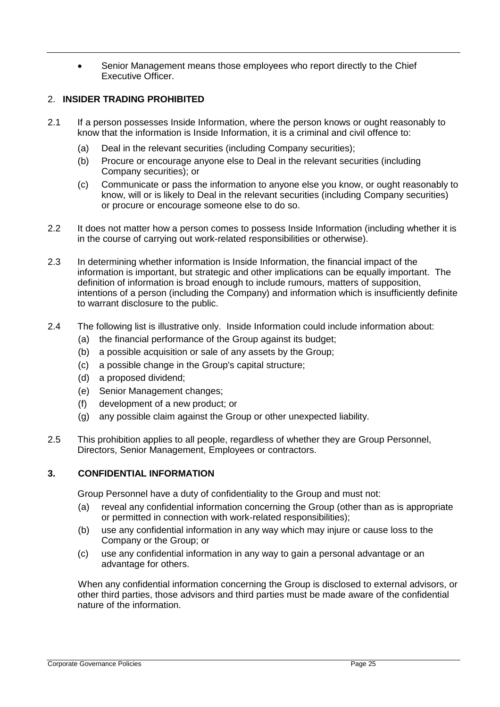Senior Management means those employees who report directly to the Chief Executive Officer.

# 2. **INSIDER TRADING PROHIBITED**

- 2.1 If a person possesses Inside Information, where the person knows or ought reasonably to know that the information is Inside Information, it is a criminal and civil offence to:
	- (a) Deal in the relevant securities (including Company securities);
	- (b) Procure or encourage anyone else to Deal in the relevant securities (including Company securities); or
	- (c) Communicate or pass the information to anyone else you know, or ought reasonably to know, will or is likely to Deal in the relevant securities (including Company securities) or procure or encourage someone else to do so.
- 2.2 It does not matter how a person comes to possess Inside Information (including whether it is in the course of carrying out work-related responsibilities or otherwise).
- 2.3 In determining whether information is Inside Information, the financial impact of the information is important, but strategic and other implications can be equally important. The definition of information is broad enough to include rumours, matters of supposition, intentions of a person (including the Company) and information which is insufficiently definite to warrant disclosure to the public.
- 2.4 The following list is illustrative only. Inside Information could include information about:
	- (a) the financial performance of the Group against its budget;
	- (b) a possible acquisition or sale of any assets by the Group;
	- (c) a possible change in the Group's capital structure;
	- (d) a proposed dividend;
	- (e) Senior Management changes;
	- (f) development of a new product; or
	- (g) any possible claim against the Group or other unexpected liability.
- 2.5 This prohibition applies to all people, regardless of whether they are Group Personnel, Directors, Senior Management, Employees or contractors.

# **3. CONFIDENTIAL INFORMATION**

Group Personnel have a duty of confidentiality to the Group and must not:

- (a) reveal any confidential information concerning the Group (other than as is appropriate or permitted in connection with work-related responsibilities);
- (b) use any confidential information in any way which may injure or cause loss to the Company or the Group; or
- (c) use any confidential information in any way to gain a personal advantage or an advantage for others.

When any confidential information concerning the Group is disclosed to external advisors, or other third parties, those advisors and third parties must be made aware of the confidential nature of the information.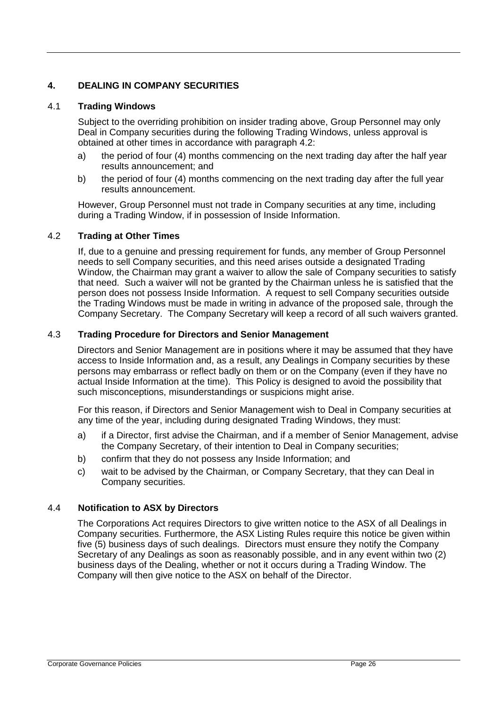# **4. DEALING IN COMPANY SECURITIES**

# 4.1 **Trading Windows**

Subject to the overriding prohibition on insider trading above, Group Personnel may only Deal in Company securities during the following Trading Windows, unless approval is obtained at other times in accordance with paragraph 4.2:

- a) the period of four (4) months commencing on the next trading day after the half year results announcement; and
- b) the period of four (4) months commencing on the next trading day after the full year results announcement.

However, Group Personnel must not trade in Company securities at any time, including during a Trading Window, if in possession of Inside Information.

### 4.2 **Trading at Other Times**

If, due to a genuine and pressing requirement for funds, any member of Group Personnel needs to sell Company securities, and this need arises outside a designated Trading Window, the Chairman may grant a waiver to allow the sale of Company securities to satisfy that need. Such a waiver will not be granted by the Chairman unless he is satisfied that the person does not possess Inside Information. A request to sell Company securities outside the Trading Windows must be made in writing in advance of the proposed sale, through the Company Secretary. The Company Secretary will keep a record of all such waivers granted.

# 4.3 **Trading Procedure for Directors and Senior Management**

Directors and Senior Management are in positions where it may be assumed that they have access to Inside Information and, as a result, any Dealings in Company securities by these persons may embarrass or reflect badly on them or on the Company (even if they have no actual Inside Information at the time). This Policy is designed to avoid the possibility that such misconceptions, misunderstandings or suspicions might arise.

For this reason, if Directors and Senior Management wish to Deal in Company securities at any time of the year, including during designated Trading Windows, they must:

- a) if a Director, first advise the Chairman, and if a member of Senior Management, advise the Company Secretary, of their intention to Deal in Company securities;
- b) confirm that they do not possess any Inside Information; and
- c) wait to be advised by the Chairman, or Company Secretary, that they can Deal in Company securities.

### 4.4 **Notification to ASX by Directors**

The Corporations Act requires Directors to give written notice to the ASX of all Dealings in Company securities. Furthermore, the ASX Listing Rules require this notice be given within five (5) business days of such dealings. Directors must ensure they notify the Company Secretary of any Dealings as soon as reasonably possible, and in any event within two (2) business days of the Dealing, whether or not it occurs during a Trading Window. The Company will then give notice to the ASX on behalf of the Director.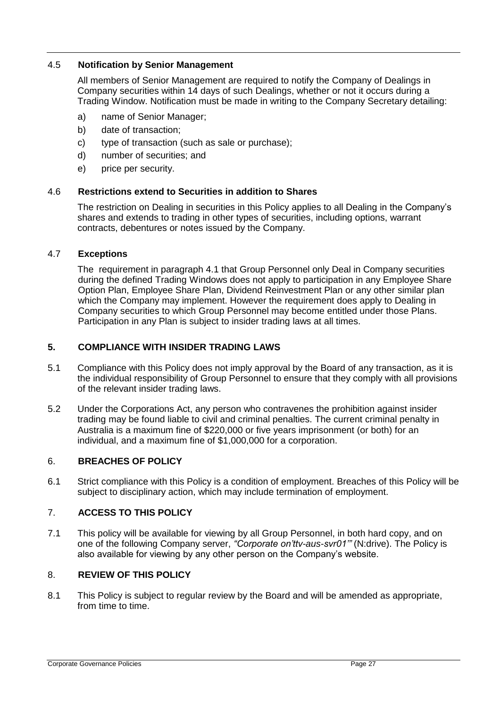### 4.5 **Notification by Senior Management**

All members of Senior Management are required to notify the Company of Dealings in Company securities within 14 days of such Dealings, whether or not it occurs during a Trading Window. Notification must be made in writing to the Company Secretary detailing:

- a) name of Senior Manager;
- b) date of transaction;
- c) type of transaction (such as sale or purchase);
- d) number of securities; and
- e) price per security.

#### 4.6 **Restrictions extend to Securities in addition to Shares**

The restriction on Dealing in securities in this Policy applies to all Dealing in the Company's shares and extends to trading in other types of securities, including options, warrant contracts, debentures or notes issued by the Company.

### 4.7 **Exceptions**

The requirement in paragraph 4.1 that Group Personnel only Deal in Company securities during the defined Trading Windows does not apply to participation in any Employee Share Option Plan, Employee Share Plan, Dividend Reinvestment Plan or any other similar plan which the Company may implement. However the requirement does apply to Dealing in Company securities to which Group Personnel may become entitled under those Plans. Participation in any Plan is subject to insider trading laws at all times.

### **5. COMPLIANCE WITH INSIDER TRADING LAWS**

- 5.1 Compliance with this Policy does not imply approval by the Board of any transaction, as it is the individual responsibility of Group Personnel to ensure that they comply with all provisions of the relevant insider trading laws.
- 5.2 Under the Corporations Act, any person who contravenes the prohibition against insider trading may be found liable to civil and criminal penalties. The current criminal penalty in Australia is a maximum fine of \$220,000 or five years imprisonment (or both) for an individual, and a maximum fine of \$1,000,000 for a corporation.

### 6. **BREACHES OF POLICY**

6.1 Strict compliance with this Policy is a condition of employment. Breaches of this Policy will be subject to disciplinary action, which may include termination of employment.

### 7. **ACCESS TO THIS POLICY**

7.1 This policy will be available for viewing by all Group Personnel, in both hard copy, and on one of the following Company server, *"Corporate on'ttv-aus-svr01'"* (N:drive). The Policy is also available for viewing by any other person on the Company's website.

#### 8. **REVIEW OF THIS POLICY**

8.1 This Policy is subject to regular review by the Board and will be amended as appropriate, from time to time.